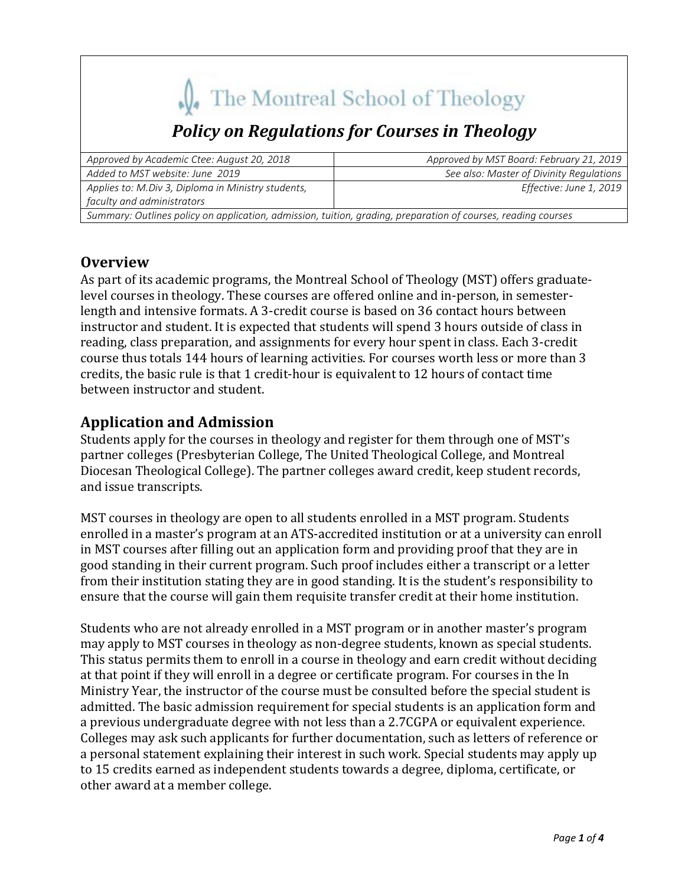# The Montreal School of Theology

## *Policy on Regulations for Courses in Theology*

| Approved by Academic Ctee: August 20, 2018                                                                    | Approved by MST Board: February 21, 2019 |
|---------------------------------------------------------------------------------------------------------------|------------------------------------------|
| Added to MST website: June 2019                                                                               | See also: Master of Divinity Regulations |
| Applies to: M.Div 3, Diploma in Ministry students,                                                            | Effective: June 1, 2019                  |
| faculty and administrators                                                                                    |                                          |
| Summary: Outlines policy on application, admission, tuition, grading, preparation of courses, reading courses |                                          |

#### **Overview**

As part of its academic programs, the Montreal School of Theology (MST) offers graduatelevel courses in theology. These courses are offered online and in-person, in semesterlength and intensive formats. A 3-credit course is based on 36 contact hours between instructor and student. It is expected that students will spend 3 hours outside of class in reading, class preparation, and assignments for every hour spent in class. Each 3-credit course thus totals 144 hours of learning activities. For courses worth less or more than 3 credits, the basic rule is that 1 credit-hour is equivalent to 12 hours of contact time between instructor and student.

### **Application and Admission**

Students apply for the courses in theology and register for them through one of MST's partner colleges (Presbyterian College, The United Theological College, and Montreal Diocesan Theological College). The partner colleges award credit, keep student records, and issue transcripts.

MST courses in theology are open to all students enrolled in a MST program. Students enrolled in a master's program at an ATS-accredited institution or at a university can enroll in MST courses after filling out an application form and providing proof that they are in good standing in their current program. Such proof includes either a transcript or a letter from their institution stating they are in good standing. It is the student's responsibility to ensure that the course will gain them requisite transfer credit at their home institution.

Students who are not already enrolled in a MST program or in another master's program may apply to MST courses in theology as non-degree students, known as special students. This status permits them to enroll in a course in theology and earn credit without deciding at that point if they will enroll in a degree or certificate program. For courses in the In Ministry Year, the instructor of the course must be consulted before the special student is admitted. The basic admission requirement for special students is an application form and a previous undergraduate degree with not less than a 2.7CGPA or equivalent experience. Colleges may ask such applicants for further documentation, such as letters of reference or a personal statement explaining their interest in such work. Special students may apply up to 15 credits earned as independent students towards a degree, diploma, certificate, or other award at a member college.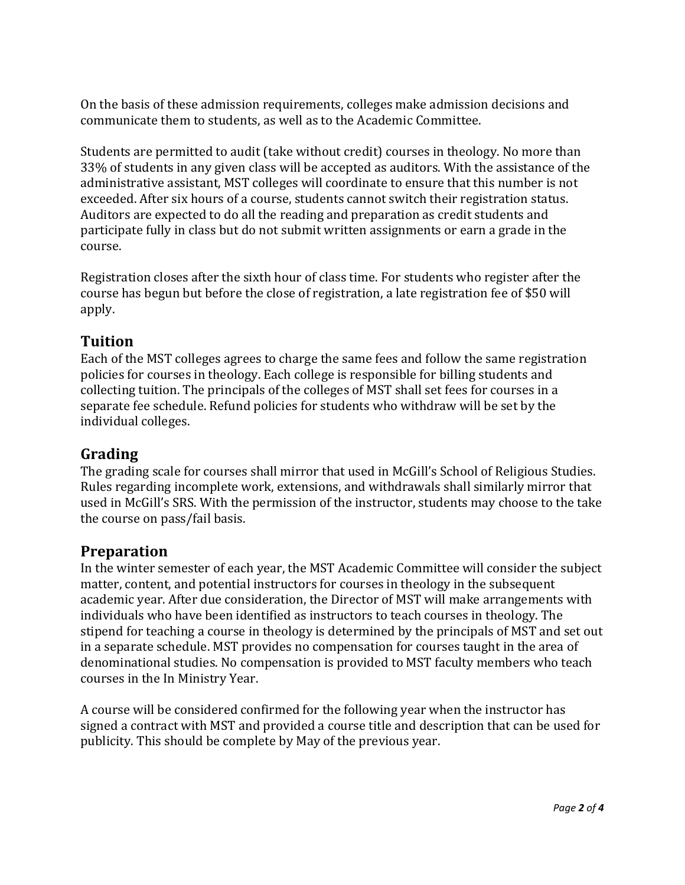On the basis of these admission requirements, colleges make admission decisions and communicate them to students, as well as to the Academic Committee.

Students are permitted to audit (take without credit) courses in theology. No more than 33% of students in any given class will be accepted as auditors. With the assistance of the administrative assistant, MST colleges will coordinate to ensure that this number is not exceeded. After six hours of a course, students cannot switch their registration status. Auditors are expected to do all the reading and preparation as credit students and participate fully in class but do not submit written assignments or earn a grade in the course. 

Registration closes after the sixth hour of class time. For students who register after the course has begun but before the close of registration, a late registration fee of \$50 will apply. 

#### **Tuition**

Each of the MST colleges agrees to charge the same fees and follow the same registration policies for courses in theology. Each college is responsible for billing students and collecting tuition. The principals of the colleges of MST shall set fees for courses in a separate fee schedule. Refund policies for students who withdraw will be set by the individual colleges.

#### **Grading**

The grading scale for courses shall mirror that used in McGill's School of Religious Studies. Rules regarding incomplete work, extensions, and withdrawals shall similarly mirror that used in McGill's SRS. With the permission of the instructor, students may choose to the take the course on pass/fail basis.

#### **Preparation**

In the winter semester of each year, the MST Academic Committee will consider the subject matter, content, and potential instructors for courses in theology in the subsequent academic year. After due consideration, the Director of MST will make arrangements with individuals who have been identified as instructors to teach courses in theology. The stipend for teaching a course in theology is determined by the principals of MST and set out in a separate schedule. MST provides no compensation for courses taught in the area of denominational studies. No compensation is provided to MST faculty members who teach courses in the In Ministry Year.

A course will be considered confirmed for the following year when the instructor has signed a contract with MST and provided a course title and description that can be used for publicity. This should be complete by May of the previous year.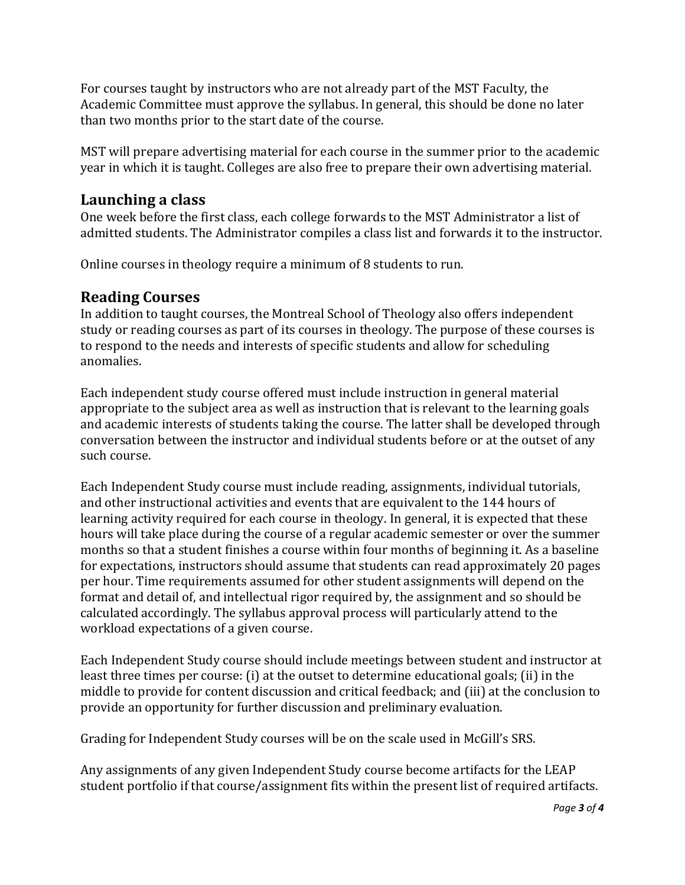For courses taught by instructors who are not already part of the MST Faculty, the Academic Committee must approve the syllabus. In general, this should be done no later than two months prior to the start date of the course.

MST will prepare advertising material for each course in the summer prior to the academic year in which it is taught. Colleges are also free to prepare their own advertising material.

#### **Launching a class**

One week before the first class, each college forwards to the MST Administrator a list of admitted students. The Administrator compiles a class list and forwards it to the instructor.

Online courses in theology require a minimum of 8 students to run.

#### **Reading Courses**

In addition to taught courses, the Montreal School of Theology also offers independent study or reading courses as part of its courses in theology. The purpose of these courses is to respond to the needs and interests of specific students and allow for scheduling anomalies. 

Each independent study course offered must include instruction in general material appropriate to the subject area as well as instruction that is relevant to the learning goals and academic interests of students taking the course. The latter shall be developed through conversation between the instructor and individual students before or at the outset of any such course.

Each Independent Study course must include reading, assignments, individual tutorials, and other instructional activities and events that are equivalent to the 144 hours of learning activity required for each course in theology. In general, it is expected that these hours will take place during the course of a regular academic semester or over the summer months so that a student finishes a course within four months of beginning it. As a baseline for expectations, instructors should assume that students can read approximately 20 pages per hour. Time requirements assumed for other student assignments will depend on the format and detail of, and intellectual rigor required by, the assignment and so should be calculated accordingly. The syllabus approval process will particularly attend to the workload expectations of a given course.

Each Independent Study course should include meetings between student and instructor at least three times per course: (i) at the outset to determine educational goals; (ii) in the middle to provide for content discussion and critical feedback; and (iii) at the conclusion to provide an opportunity for further discussion and preliminary evaluation.

Grading for Independent Study courses will be on the scale used in McGill's SRS.

Any assignments of any given Independent Study course become artifacts for the LEAP student portfolio if that course/assignment fits within the present list of required artifacts.